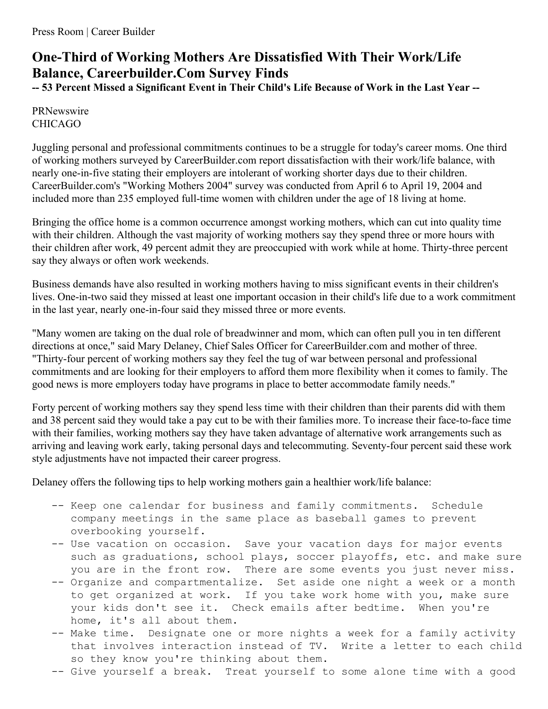## **One-Third of Working Mothers Are Dissatisfied With Their Work/Life Balance, Careerbuilder.Com Survey Finds**

-- 53 Percent Missed a Significant Event in Their Child's Life Because of Work in the Last Year --

PRNewswire CHICAGO

Juggling personal and professional commitments continues to be a struggle for today's career moms. One third of working mothers surveyed by CareerBuilder.com report dissatisfaction with their work/life balance, with nearly one-in-five stating their employers are intolerant of working shorter days due to their children. CareerBuilder.com's "Working Mothers 2004" survey was conducted from April 6 to April 19, 2004 and included more than 235 employed full-time women with children under the age of 18 living at home.

Bringing the office home is a common occurrence amongst working mothers, which can cut into quality time with their children. Although the vast majority of working mothers say they spend three or more hours with their children after work, 49 percent admit they are preoccupied with work while at home. Thirty-three percent say they always or often work weekends.

Business demands have also resulted in working mothers having to miss significant events in their children's lives. One-in-two said they missed at least one important occasion in their child's life due to a work commitment in the last year, nearly one-in-four said they missed three or more events.

"Many women are taking on the dual role of breadwinner and mom, which can often pull you in ten different directions at once," said Mary Delaney, Chief Sales Officer for CareerBuilder.com and mother of three. "Thirty-four percent of working mothers say they feel the tug of war between personal and professional commitments and are looking for their employers to afford them more flexibility when it comes to family. The good news is more employers today have programs in place to better accommodate family needs."

Forty percent of working mothers say they spend less time with their children than their parents did with them and 38 percent said they would take a pay cut to be with their families more. To increase their face-to-face time with their families, working mothers say they have taken advantage of alternative work arrangements such as arriving and leaving work early, taking personal days and telecommuting. Seventy-four percent said these work style adjustments have not impacted their career progress.

Delaney offers the following tips to help working mothers gain a healthier work/life balance:

- -- Keep one calendar for business and family commitments. Schedule company meetings in the same place as baseball games to prevent overbooking yourself.
- -- Use vacation on occasion. Save your vacation days for major events such as graduations, school plays, soccer playoffs, etc. and make sure you are in the front row. There are some events you just never miss.
- -- Organize and compartmentalize. Set aside one night a week or a month to get organized at work. If you take work home with you, make sure your kids don't see it. Check emails after bedtime. When you're home, it's all about them.
- -- Make time. Designate one or more nights a week for a family activity that involves interaction instead of TV. Write a letter to each child so they know you're thinking about them.
- -- Give yourself a break. Treat yourself to some alone time with a good